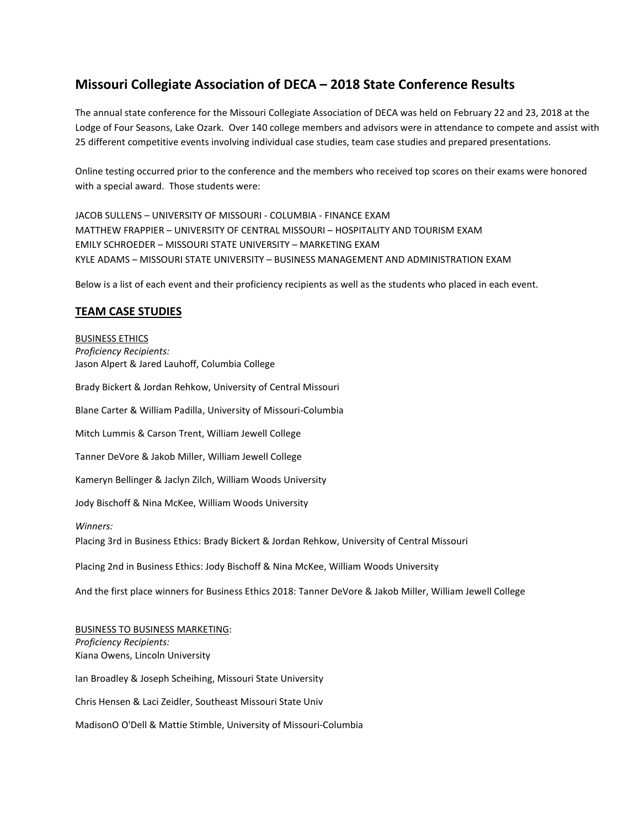# **Missouri Collegiate Association of DECA – 2018 State Conference Results**

The annual state conference for the Missouri Collegiate Association of DECA was held on February 22 and 23, 2018 at the Lodge of Four Seasons, Lake Ozark. Over 140 college members and advisors were in attendance to compete and assist with 25 different competitive events involving individual case studies, team case studies and prepared presentations.

Online testing occurred prior to the conference and the members who received top scores on their exams were honored with a special award. Those students were:

JACOB SULLENS – UNIVERSITY OF MISSOURI - COLUMBIA - FINANCE EXAM MATTHEW FRAPPIER – UNIVERSITY OF CENTRAL MISSOURI – HOSPITALITY AND TOURISM EXAM EMILY SCHROEDER – MISSOURI STATE UNIVERSITY – MARKETING EXAM KYLE ADAMS – MISSOURI STATE UNIVERSITY – BUSINESS MANAGEMENT AND ADMINISTRATION EXAM

Below is a list of each event and their proficiency recipients as well as the students who placed in each event.

## **TEAM CASE STUDIES**

## BUSINESS ETHICS *Proficiency Recipients:* Jason Alpert & Jared Lauhoff, Columbia College

Brady Bickert & Jordan Rehkow, University of Central Missouri Blane Carter & William Padilla, University of Missouri-Columbia Mitch Lummis & Carson Trent, William Jewell College Tanner DeVore & Jakob Miller, William Jewell College Kameryn Bellinger & Jaclyn Zilch, William Woods University Jody Bischoff & Nina McKee, William Woods University *Winners:* Placing 3rd in Business Ethics: Brady Bickert & Jordan Rehkow, University of Central Missouri Placing 2nd in Business Ethics: Jody Bischoff & Nina McKee, William Woods University And the first place winners for Business Ethics 2018: Tanner DeVore & Jakob Miller, William Jewell College BUSINESS TO BUSINESS MARKETING: *Proficiency Recipients:* Kiana Owens, Lincoln University Ian Broadley & Joseph Scheihing, Missouri State University

Chris Hensen & Laci Zeidler, Southeast Missouri State Univ

MadisonO O'Dell & Mattie Stimble, University of Missouri-Columbia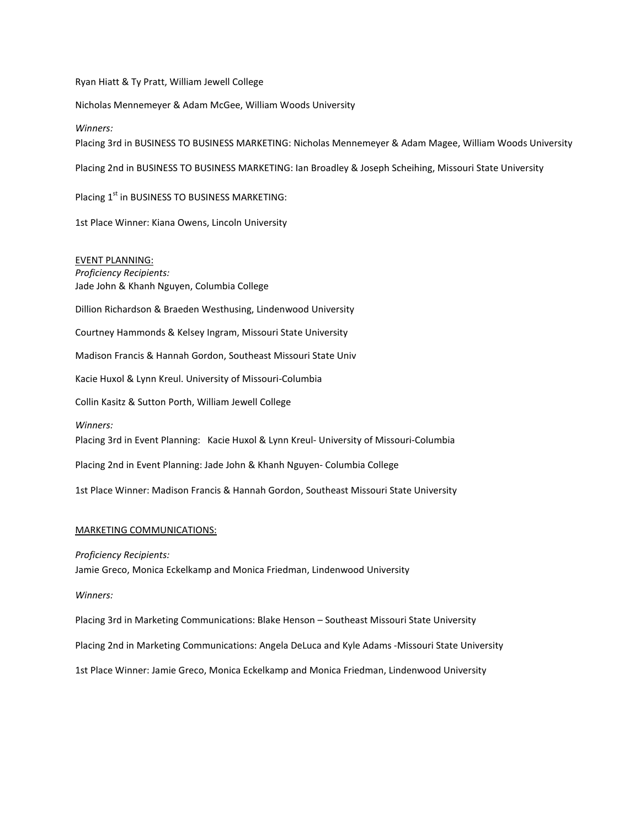Ryan Hiatt & Ty Pratt, William Jewell College

Nicholas Mennemeyer & Adam McGee, William Woods University

*Winners:*

Placing 3rd in BUSINESS TO BUSINESS MARKETING: Nicholas Mennemeyer & Adam Magee, William Woods University

Placing 2nd in BUSINESS TO BUSINESS MARKETING: Ian Broadley & Joseph Scheihing, Missouri State University

Placing 1<sup>st</sup> in BUSINESS TO BUSINESS MARKETING:

1st Place Winner: Kiana Owens, Lincoln University

EVENT PLANNING: *Proficiency Recipients:* Jade John & Khanh Nguyen, Columbia College

Dillion Richardson & Braeden Westhusing, Lindenwood University

Courtney Hammonds & Kelsey Ingram, Missouri State University

Madison Francis & Hannah Gordon, Southeast Missouri State Univ

Kacie Huxol & Lynn Kreul. University of Missouri-Columbia

Collin Kasitz & Sutton Porth, William Jewell College

*Winners:*

Placing 3rd in Event Planning: Kacie Huxol & Lynn Kreul- University of Missouri-Columbia

Placing 2nd in Event Planning: Jade John & Khanh Nguyen- Columbia College

1st Place Winner: Madison Francis & Hannah Gordon, Southeast Missouri State University

#### MARKETING COMMUNICATIONS:

*Proficiency Recipients:*

Jamie Greco, Monica Eckelkamp and Monica Friedman, Lindenwood University

*Winners:*

Placing 3rd in Marketing Communications: Blake Henson – Southeast Missouri State University

Placing 2nd in Marketing Communications: Angela DeLuca and Kyle Adams -Missouri State University

1st Place Winner: Jamie Greco, Monica Eckelkamp and Monica Friedman, Lindenwood University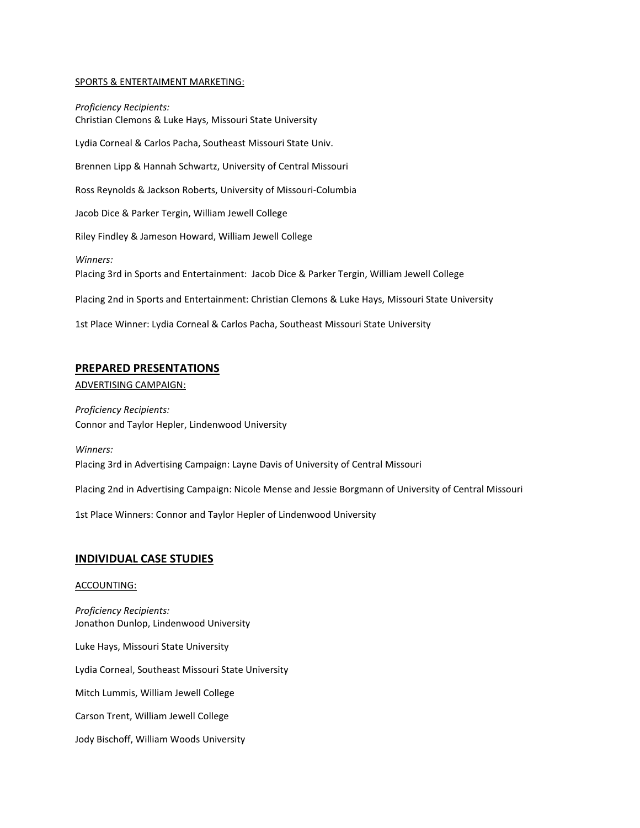### SPORTS & ENTERTAIMENT MARKETING:

*Proficiency Recipients:* Christian Clemons & Luke Hays, Missouri State University Lydia Corneal & Carlos Pacha, Southeast Missouri State Univ. Brennen Lipp & Hannah Schwartz, University of Central Missouri Ross Reynolds & Jackson Roberts, University of Missouri-Columbia Jacob Dice & Parker Tergin, William Jewell College Riley Findley & Jameson Howard, William Jewell College *Winners:* Placing 3rd in Sports and Entertainment: Jacob Dice & Parker Tergin, William Jewell College Placing 2nd in Sports and Entertainment: Christian Clemons & Luke Hays, Missouri State University 1st Place Winner: Lydia Corneal & Carlos Pacha, Southeast Missouri State University

## **PREPARED PRESENTATIONS**

ADVERTISING CAMPAIGN:

*Proficiency Recipients:* Connor and Taylor Hepler, Lindenwood University

*Winners:* Placing 3rd in Advertising Campaign: Layne Davis of University of Central Missouri

Placing 2nd in Advertising Campaign: Nicole Mense and Jessie Borgmann of University of Central Missouri

1st Place Winners: Connor and Taylor Hepler of Lindenwood University

## **INDIVIDUAL CASE STUDIES**

#### ACCOUNTING:

*Proficiency Recipients:* Jonathon Dunlop, Lindenwood University Luke Hays, Missouri State University Lydia Corneal, Southeast Missouri State University Mitch Lummis, William Jewell College Carson Trent, William Jewell College Jody Bischoff, William Woods University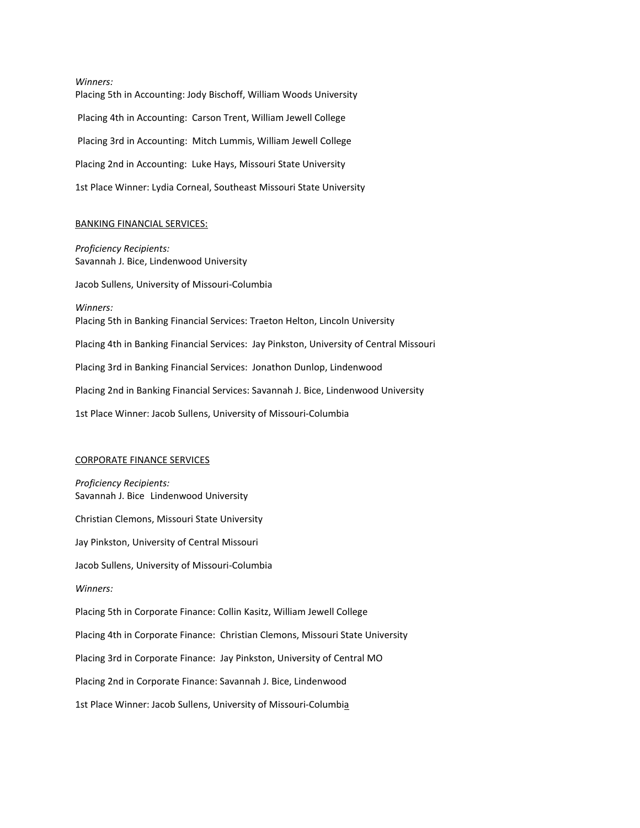*Winners:* Placing 5th in Accounting: Jody Bischoff, William Woods University Placing 4th in Accounting: Carson Trent, William Jewell College Placing 3rd in Accounting: Mitch Lummis, William Jewell College Placing 2nd in Accounting: Luke Hays, Missouri State University 1st Place Winner: Lydia Corneal, Southeast Missouri State University

#### BANKING FINANCIAL SERVICES:

*Proficiency Recipients:* Savannah J. Bice, Lindenwood University Jacob Sullens, University of Missouri-Columbia *Winners:* Placing 5th in Banking Financial Services: Traeton Helton, Lincoln University Placing 4th in Banking Financial Services: Jay Pinkston, University of Central Missouri Placing 3rd in Banking Financial Services: Jonathon Dunlop, Lindenwood Placing 2nd in Banking Financial Services: Savannah J. Bice, Lindenwood University 1st Place Winner: Jacob Sullens, University of Missouri-Columbia

#### CORPORATE FINANCE SERVICES

*Proficiency Recipients:* Savannah J. Bice Lindenwood University Christian Clemons, Missouri State University Jay Pinkston, University of Central Missouri

Jacob Sullens, University of Missouri-Columbia

*Winners:*

Placing 5th in Corporate Finance: Collin Kasitz, William Jewell College

Placing 4th in Corporate Finance: Christian Clemons, Missouri State University

Placing 3rd in Corporate Finance: Jay Pinkston, University of Central MO

Placing 2nd in Corporate Finance: Savannah J. Bice, Lindenwood

1st Place Winner: Jacob Sullens, University of Missouri-Columbia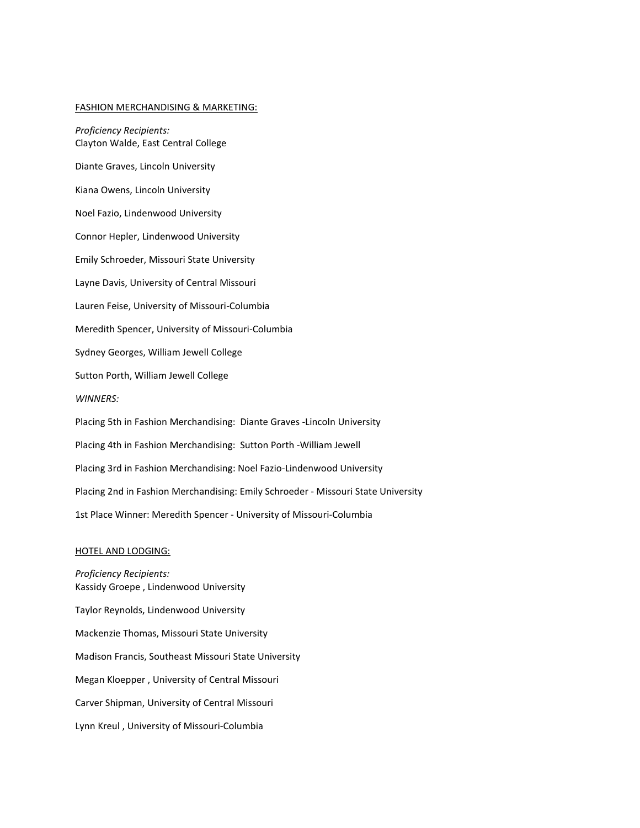#### FASHION MERCHANDISING & MARKETING:

*Proficiency Recipients:* Clayton Walde, East Central College Diante Graves, Lincoln University Kiana Owens, Lincoln University Noel Fazio, Lindenwood University Connor Hepler, Lindenwood University Emily Schroeder, Missouri State University Layne Davis, University of Central Missouri Lauren Feise, University of Missouri-Columbia Meredith Spencer, University of Missouri-Columbia Sydney Georges, William Jewell College Sutton Porth, William Jewell College *WINNERS:* Placing 5th in Fashion Merchandising: Diante Graves -Lincoln University Placing 4th in Fashion Merchandising: Sutton Porth -William Jewell Placing 3rd in Fashion Merchandising: Noel Fazio-Lindenwood University Placing 2nd in Fashion Merchandising: Emily Schroeder - Missouri State University 1st Place Winner: Meredith Spencer - University of Missouri-Columbia

#### HOTEL AND LODGING:

*Proficiency Recipients:* Kassidy Groepe , Lindenwood University Taylor Reynolds, Lindenwood University Mackenzie Thomas, Missouri State University Madison Francis, Southeast Missouri State University Megan Kloepper , University of Central Missouri Carver Shipman, University of Central Missouri Lynn Kreul , University of Missouri-Columbia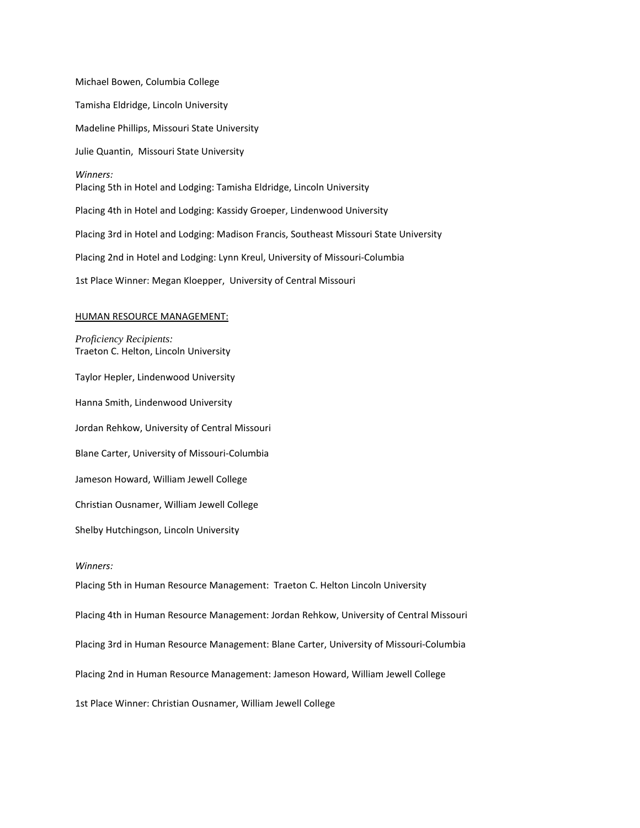Michael Bowen, Columbia College Tamisha Eldridge, Lincoln University Madeline Phillips, Missouri State University Julie Quantin, Missouri State University *Winners:* Placing 5th in Hotel and Lodging: Tamisha Eldridge, Lincoln University Placing 4th in Hotel and Lodging: Kassidy Groeper, Lindenwood University Placing 3rd in Hotel and Lodging: Madison Francis, Southeast Missouri State University Placing 2nd in Hotel and Lodging: Lynn Kreul, University of Missouri-Columbia 1st Place Winner: Megan Kloepper, University of Central Missouri

#### HUMAN RESOURCE MANAGEMENT:

*Proficiency Recipients:* Traeton C. Helton, Lincoln University Taylor Hepler, Lindenwood University Hanna Smith, Lindenwood University Jordan Rehkow, University of Central Missouri Blane Carter, University of Missouri-Columbia Jameson Howard, William Jewell College Christian Ousnamer, William Jewell College Shelby Hutchingson, Lincoln University *Winners:* Placing 5th in Human Resource Management: Traeton C. Helton Lincoln University Placing 4th in Human Resource Management: Jordan Rehkow, University of Central Missouri Placing 3rd in Human Resource Management: Blane Carter, University of Missouri-Columbia Placing 2nd in Human Resource Management: Jameson Howard, William Jewell College

1st Place Winner: Christian Ousnamer, William Jewell College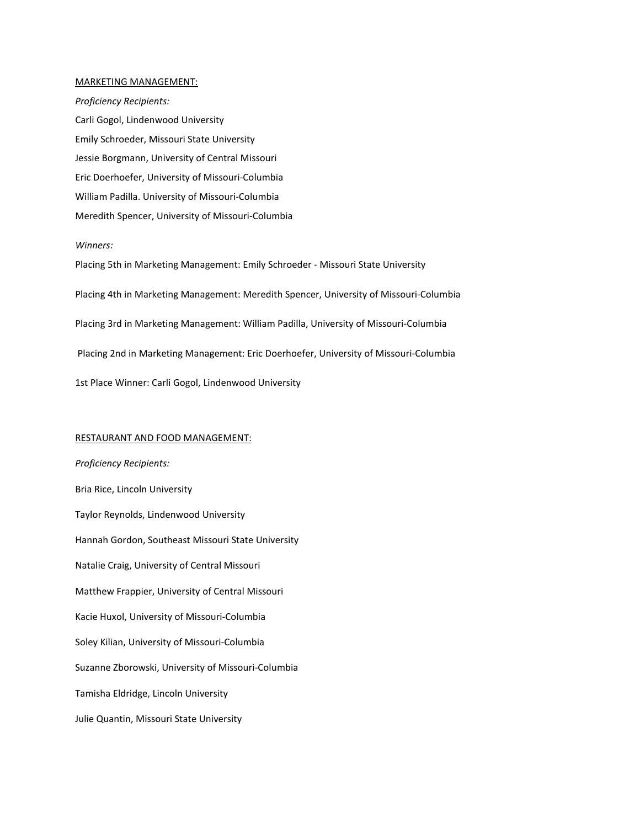#### MARKETING MANAGEMENT:

*Proficiency Recipients:* Carli Gogol, Lindenwood University Emily Schroeder, Missouri State University Jessie Borgmann, University of Central Missouri Eric Doerhoefer, University of Missouri-Columbia William Padilla. University of Missouri-Columbia Meredith Spencer, University of Missouri-Columbia

#### *Winners:*

Placing 5th in Marketing Management: Emily Schroeder - Missouri State University Placing 4th in Marketing Management: Meredith Spencer, University of Missouri-Columbia Placing 3rd in Marketing Management: William Padilla, University of Missouri-Columbia Placing 2nd in Marketing Management: Eric Doerhoefer, University of Missouri-Columbia 1st Place Winner: Carli Gogol, Lindenwood University

#### RESTAURANT AND FOOD MANAGEMENT:

*Proficiency Recipients:* Bria Rice, Lincoln University Taylor Reynolds, Lindenwood University Hannah Gordon, Southeast Missouri State University Natalie Craig, University of Central Missouri Matthew Frappier, University of Central Missouri Kacie Huxol, University of Missouri-Columbia Soley Kilian, University of Missouri-Columbia Suzanne Zborowski, University of Missouri-Columbia Tamisha Eldridge, Lincoln University Julie Quantin, Missouri State University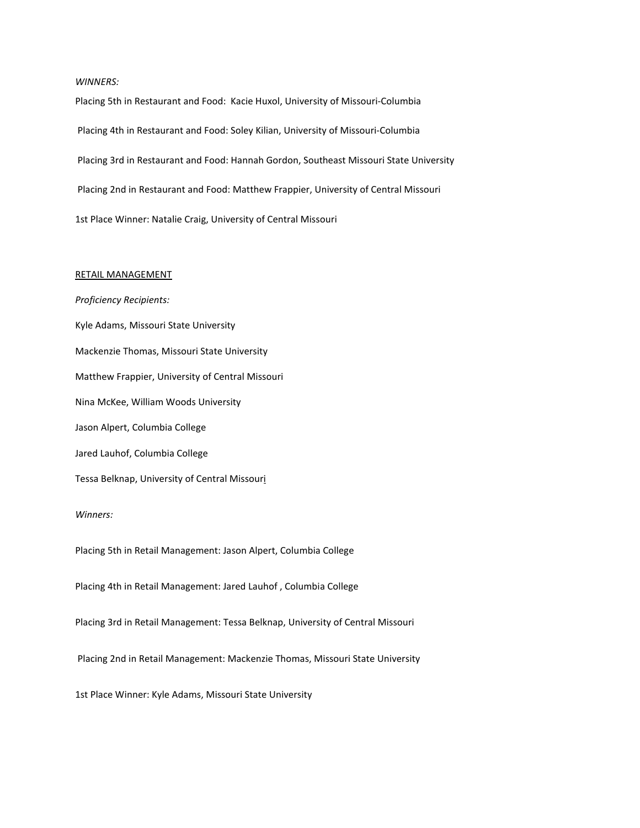#### *WINNERS:*

Placing 5th in Restaurant and Food: Kacie Huxol, University of Missouri-Columbia Placing 4th in Restaurant and Food: Soley Kilian, University of Missouri-Columbia Placing 3rd in Restaurant and Food: Hannah Gordon, Southeast Missouri State University Placing 2nd in Restaurant and Food: Matthew Frappier, University of Central Missouri 1st Place Winner: Natalie Craig, University of Central Missouri

## RETAIL MANAGEMENT

*Proficiency Recipients:* Kyle Adams, Missouri State University Mackenzie Thomas, Missouri State University Matthew Frappier, University of Central Missouri Nina McKee, William Woods University Jason Alpert, Columbia College Jared Lauhof, Columbia College Tessa Belknap, University of Central Missouri *Winners:* Placing 5th in Retail Management: Jason Alpert, Columbia College Placing 4th in Retail Management: Jared Lauhof , Columbia College Placing 3rd in Retail Management: Tessa Belknap, University of Central Missouri Placing 2nd in Retail Management: Mackenzie Thomas, Missouri State University 1st Place Winner: Kyle Adams, Missouri State University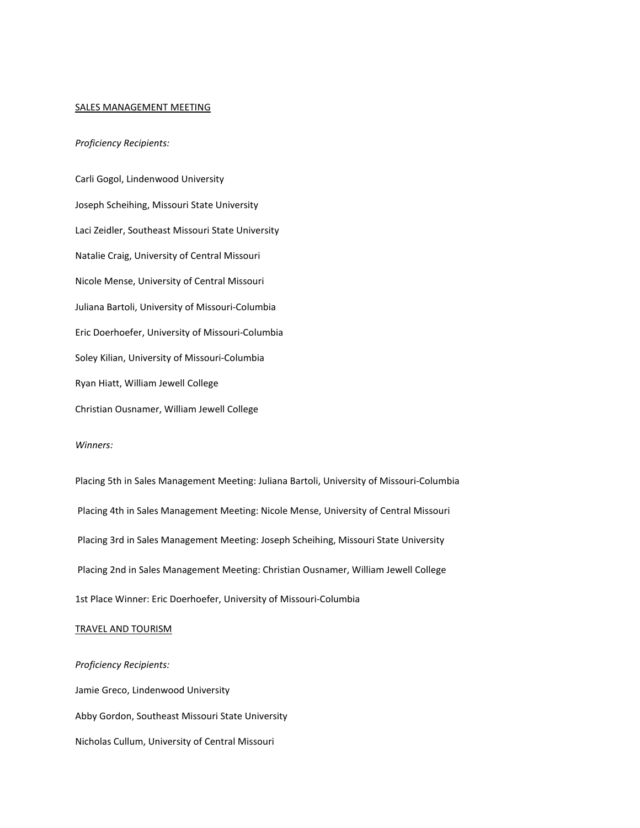#### SALES MANAGEMENT MEETING

## *Proficiency Recipients:*

Carli Gogol, Lindenwood University Joseph Scheihing, Missouri State University Laci Zeidler, Southeast Missouri State University Natalie Craig, University of Central Missouri Nicole Mense, University of Central Missouri Juliana Bartoli, University of Missouri-Columbia Eric Doerhoefer, University of Missouri-Columbia Soley Kilian, University of Missouri-Columbia Ryan Hiatt, William Jewell College Christian Ousnamer, William Jewell College

## *Winners:*

Placing 5th in Sales Management Meeting: Juliana Bartoli, University of Missouri-Columbia Placing 4th in Sales Management Meeting: Nicole Mense, University of Central Missouri Placing 3rd in Sales Management Meeting: Joseph Scheihing, Missouri State University Placing 2nd in Sales Management Meeting: Christian Ousnamer, William Jewell College 1st Place Winner: Eric Doerhoefer, University of Missouri-Columbia

#### TRAVEL AND TOURISM

*Proficiency Recipients:* Jamie Greco, Lindenwood University Abby Gordon, Southeast Missouri State University Nicholas Cullum, University of Central Missouri